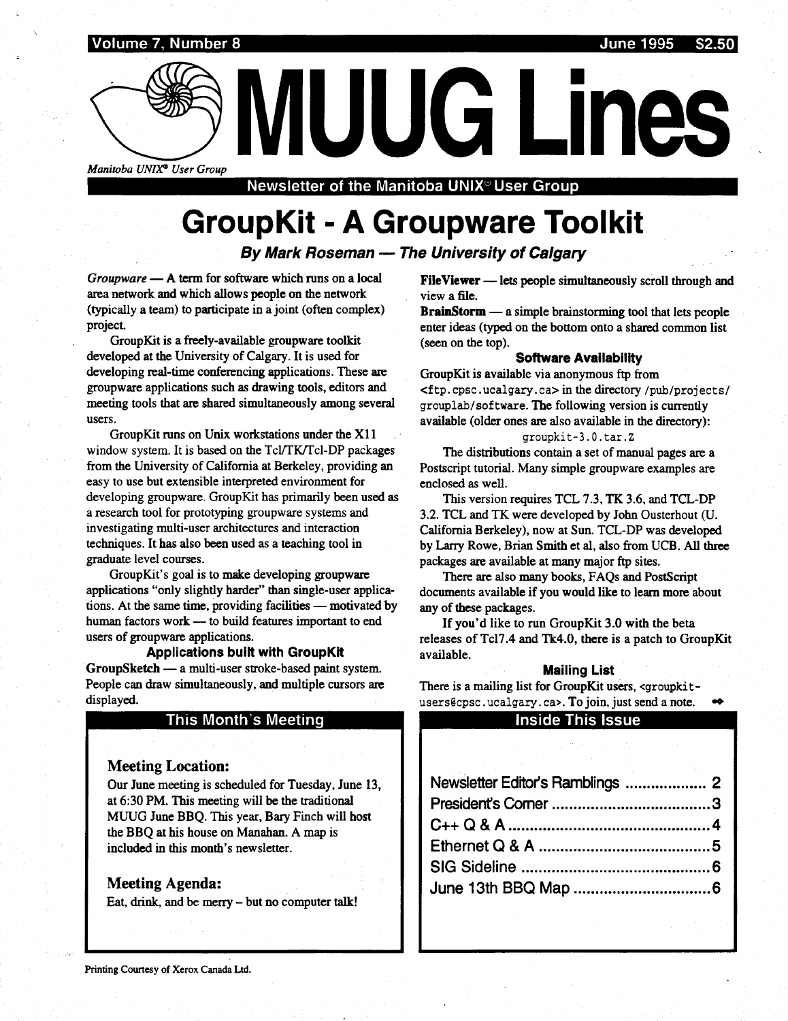Volume 7, Number 8 June 1995

Manitoba UNIX® User Group

Newsletter of the Manitoba UNIX $\degree$ User Group

# GroupKit - A Groupware Toolkit

By Mark Roseman - The University of Calgary

 $Groupware - A term for software which runs on a local$ area network and which allows people on the network (typically a team) to participate in a joint (often complex) project.

GroupKit is a freely-available groupware toolkit developed at the University of Calgary. It is used for developing real-time conferencing applications . These are groupware applications such as drawing tools, editors and meeting tools that are shared simultaneously among several users.

GroupKit runs on Unix workstations under the X11 window system. It is based on the Tcl/TK/Tcl-DP packages from the University of California at Berkeley, providing an easy to use but extensible interpreted environment for developing groupware. GroupKit has primarily been used as a research tool for prototyping groupware systems and investigating multi-user architectures and interaction techniques . It has also been used as a teaching tool in graduate level courses .

GroupKit's goal is to make developing groupware applications "only slightly harder" than single-user applications. At the same time, providing facilities — motivated by human factors work - to build features important to end users of groupware applications.

Applications built with GroupKit GroupSketch - a multi-user stroke-based paint system. People can draw simultaneously, and multiple cursors are displayed.

### This Month's Meeting

### Meeting Location:

Our June meeting is scheduled for Tuesday, June 13, at 6:30 PM. This meeting will be the traditional MUUG June BBQ . This year, Bary Finch will host the BBQ at his house on Manahan . A map is included in this month's new sletter.

### Meeting Agenda:

Eat, drink, and be merry - but no computer talk!

FileViewer -lets people simultaneously scroll through and view a file.

MUUG Lines

 $BrainStorm - a simple brainstorming tool that lets people$ enter ideas (typed on the bottom onto a shared common list (seen on the top).

### Software Availability

GroupKit is available via anonymous ftp from <f tp .cpsc .ucalgary.c a > in the directory /pub/projects/ grouplab/software . The following version is currently available (older ones are also available in the directory) :

### groupkit-3 .0 .tar .Z

The distributions contain a set of manual pages are a Postscript tutorial. Many simple groupware examples are enclosed as well.

This version requires TCL 7.3, TK 3.6, and TCL-DP 3 .2. TCL and TK were developed by John Ousterhout (U. California Berkeley), now at Sun . TCL-DP was developed by Larry Rowe, Brian Smith et al, also from UCB. All three packages are available at many major ftp sites.

There are also many books, FAQs and PostScript documents available if you would like to learn more about any of these packages.

If you'd like to run GroupKit 3.0 with the beta releases of Tcl7.4 and Tk4.0, there is a patch to GroupKit available.

### Mailing List

### Inside This Issue

| eleases of Tcl7.4 and Tk4.0, there is a patch to GroupK                             |  |
|-------------------------------------------------------------------------------------|--|
| vailable.                                                                           |  |
| <b>Mailing List</b>                                                                 |  |
| here is a mailing list for GroupKit users, <groupkit-< th=""><th></th></groupkit-<> |  |
| sers@cpsc.ucalgary.ca>. To join, just send a note.                                  |  |
| <b>Inside This Issue</b>                                                            |  |
|                                                                                     |  |
|                                                                                     |  |
|                                                                                     |  |
| Newsletter Editor's Ramblings  2                                                    |  |
|                                                                                     |  |
|                                                                                     |  |
|                                                                                     |  |
|                                                                                     |  |
|                                                                                     |  |
|                                                                                     |  |
|                                                                                     |  |
|                                                                                     |  |
|                                                                                     |  |
|                                                                                     |  |
|                                                                                     |  |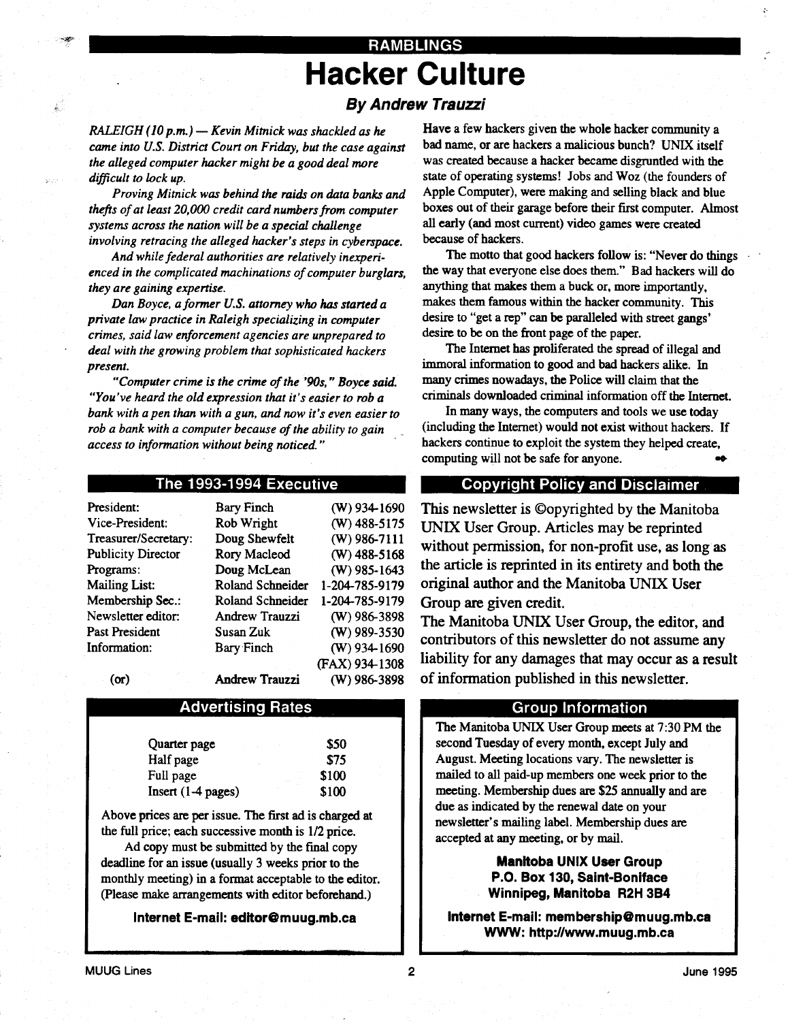# RAMBLINGS Hacker Culture

## By Andrew Trauzzi

 $RALEIGH (10 p.m.)$  - Kevin Mitnick was shackled as he came into U.S. District Court on Friday, but the case against the alleged computer hacker might be a good deal more difficult to lock up.

 

Proving Mitnick was behind the raids on data banks and thefts of at least 20,000 credit card numbers from computer systems across the nation will be a special challenge involving retracing the alleged hacker's steps in cyberspace .

And while federal authorities are relatively inexperienced in the complicated machinations of computer burglars, they are gaining expertise.

Dan Boyce, a former U.S. attorney who has started a private law practice in Raleigh specializing in computer crimes, said law enforcement agencies are unprepared to deal with the growing problem that sophisticated hackers present.

"Computer crime is the crime of the '90s, " Boyce said. "You've heard the old expression that it's easier to rob a bank with a pen than with a gun, and now it's even easier to rob a bank with a computer because of the ability to gain access to information without being noticed."

### The 1993-1994 Executive

| President:                | <b>Bary Finch</b>     | (W) 934-1690   |
|---------------------------|-----------------------|----------------|
| Vice-President:           | Rob Wright            | $(W)$ 488-5175 |
| Treasurer/Secretary:      | Doug Shewfelt         | (W) 986-7111   |
| <b>Publicity Director</b> | <b>Rory Macleod</b>   | $(W)$ 488-5168 |
| Programs:                 | Doug McLean           | $(W)$ 985-1643 |
| <b>Mailing List:</b>      | Roland Schneider      | 1-204-785-9179 |
| Membership Sec.:          | Roland Schneider      | 1-204-785-9179 |
| Newsletter editor:        | <b>Andrew Trauzzi</b> | $(W)$ 986-3898 |
| Past President            | Susan Zuk             | (W) 989-3530   |
| Information:              | <b>Bary Finch</b>     | $(W)$ 934-1690 |
|                           |                       | (FAX) 934-1308 |
| (or)                      | <b>Andrew Trauzzi</b> | (W) 986-3898   |

### Advertising Rates

| Quarter page         | \$50  |
|----------------------|-------|
| Half page            | \$75  |
| Full page            | \$100 |
| $Insert (1-4 pages)$ | \$100 |

Above prices are per issue. The first ad is charged at the full price; each successive month is  $1/2$  price.

Ad copy must be submitted by the final copy deadline for an issue (usually 3 weeks prior to the monthly meeting) in a format acceptable to the editor. (Please make arrangements with editor beforehand.)

Internet E-mail: editor@muug.mb.ca

Have a few hackers given the whole hacker community a bad name, or are hackers a malicious bunch? UNIX itself was created because a hacker became disgruntled with the state of operating systems! Jobs and Woz (the founders of Apple Computer), were making and selling black and blue boxes out of their garage before their first computer. Almost all early (and most current) video games were created because of hackers.

The motto that good hackers follow is: "Never do things the way that everyone else does them ." Bad hackers will do anything that makes them a buck or, more importantly, makes them famous within the hacker community. This desire to "get a rep" can be paralleled with street gangs' desire to be on the front page of the paper.

The Internet has proliferated the spread of illegal and immoral information to good and bad hackers alike. In many crimes nowadays, the Police will claim that the criminals downloaded criminal information off the Internet .

In many ways, the computers and tools we use today (including the Internet) would not exist without hackers . If hackers continue to exploit the system they helped create, computing will not be safe for anyone. .<br>W

### Copyright Policy and Disclaimer .

This newsletter is ©opyrighted by the Manitoba UNIX User Group. Articles may be reprinted without permission, for non-profit use, as long as the article is reprinted in its entirety and both the original author and the Manitoba UNIX User Group are given credit.

The Manitoba UNIX User Group, the editor, and contributors of this newsletter do not assume any liability for any damages that may occur as a result of information published in this newsletter .

### Group Information

The Manitoba UNIX User Group meets at 7 :30 PM the second Tuesday of every month, except July and August. Meeting locations vary. The newsletter is mailed to all paid-up members one week prior to the meeting. Membership dues are \$25 annually and are due as indicated by the renewal date on your newsletter's mailing label. Membership dues are accepted at any meeting, or by mail.

> Manitoba UNIX User Group P.O. Box 130, Saint-Boniface Winnipeg, Manitoba R2H 3B4

Internet E-mail: membership@muug.mb.ca WWW: http://www.muug.mb.ca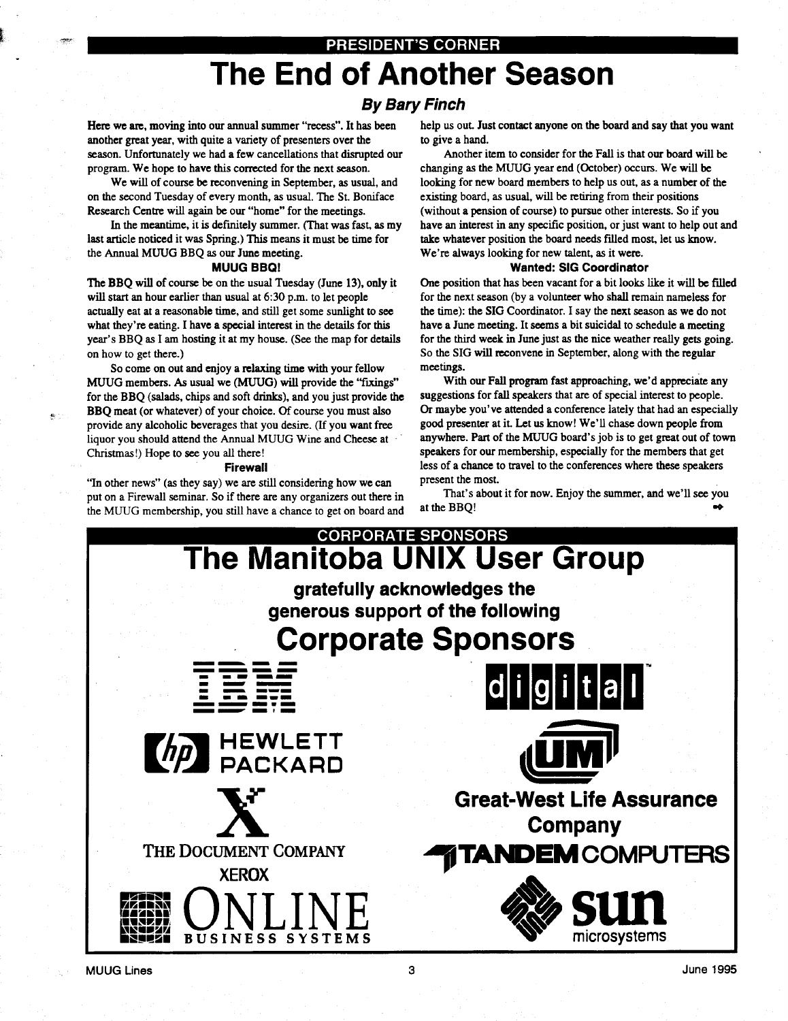### PRESIDENT'S CORNER

# The End of Another Season

### By Bary Finch

Here we are, moving into our annual summer "recess". It has been another great year, with quite a variety of presenters over the season. Unfortunately we had a few cancellations that disrupted our program. We hope to have this corrected for the next season.

 

We will of course be reconvening in September, as usual, and on the second Tuesday of every month, as usual. The St. Boniface Research Centre will again be our "home" for the meetings .

In the meantime, it is definitely summer. (That was fast, as my last article noticed it was Spring .) This means it must be time for the Annual MUUG BBQ as our June meeting.

#### MUUG BBQ!

The BBQ will of course be on the usual Tuesday (June 13), only it will start an hour earlier than usual at 6:30 p.m. to let people actually eat at a reasonable time, and still get some sunlight to see what they're eating. I have a special interest in the details for this year's BBQ as I am hosting it at my house . (See the map for details on how to get there.)

So come on out and enjoy a relaxing time with your fellow MUUG members. As usual we (MUUG) will provide the "fixings" for the BBQ (salads, chips and soft drinks), and you just provide the BBQ meat (or whatever) of your choice. Of course you must also provide any alcoholic beverages that you desire . (If you want free liquor you should attend the Annual MUUG Wine and Cheese at -Christmas!) Hope to see you all there!

#### Firewall

"In other news" (as they say) we are still considering how we can put on a Firewall seminar. So if there are any organizers out there in the MUUG membership, you still have a chance to get on board and help us out. Just contact anyone on the board and say that you want to give a hand.

Another item to consider for the Fall is that our board will be changing as the MUUG year end (October) occurs . We will be looking for new board members to help us out, as a number of the existing board, as usual, will be retiring from their positions (without a pension of course) to pursue other interests. So if you have an interest in any specific position, or just want to help out and take whatever position the board needs filled most, let us know . We're always looking for new talent, as it were.

#### Wanted: SIG Coordinator

One position that has been vacant for a bit looks like it will be filled for the next season (by a volunteer who shall remain nameless for the time): the SIG Coordinator. I say the next season as we do not have a June meeting. It seems a bit suicidal to schedule a meeting for the third week in June just as the nice weather really gets going. So the SIG will reconvene in September, along with the regular meetings.

With our Fall program fast approaching, we'd appreciate any suggestions for fall speakers that are of special interest to people. Or maybe you've attended a conference lately that had an especially good presenter at it. Let us know! We'll chase down people from anywhere. Part of the MUUG board's job is to get great out of town speakers for our membership, especially for the members that get less of a chance to travel to the conferences where these speakers present the most.

That's about it for now. Enjoy the summer, and we'll see you at the BBQ! -o

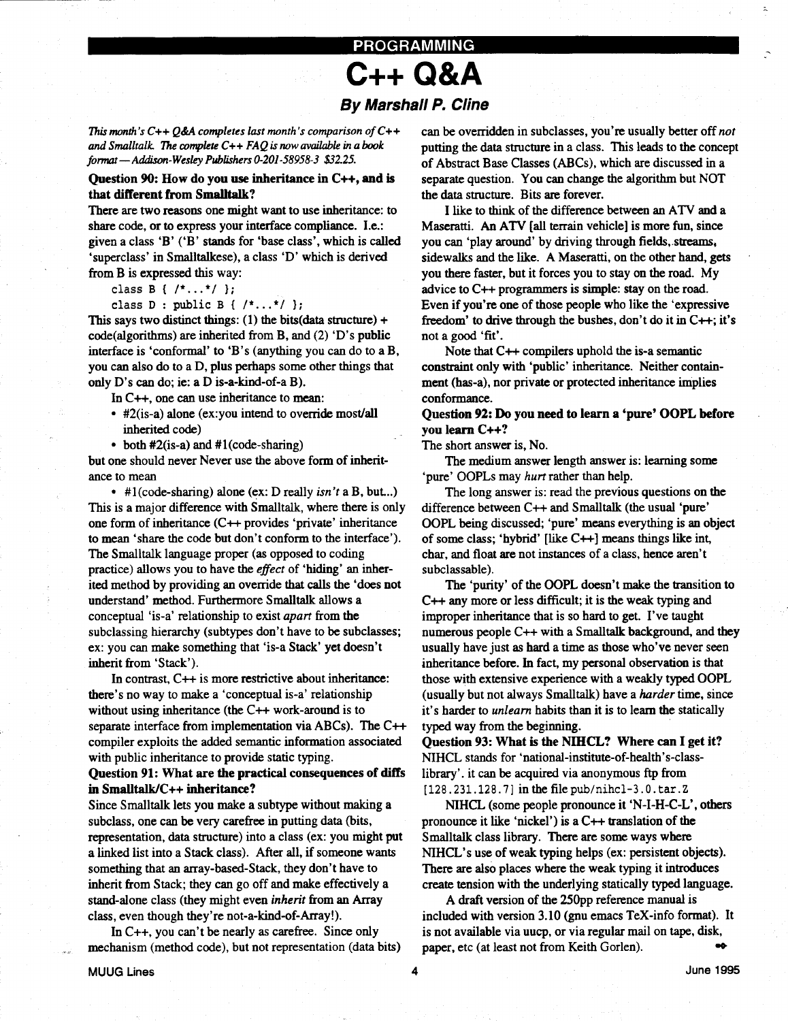# PROGRAMMING C++ Q&A By Marshall P. Cline

This month's  $C++Q\&A$  completes last month's comparison of  $C++$ and Smalltalk. The complete  $C++FAQ$  is now available in a book format - Addison-Wesley Publishers 0-201-58958-3 \$32.25.

Question  $90$ : How do you use inheritance in  $C_{++}$ , and is that different from Smalltalk?

There are two reasons one might want to use inheritance: to share code, or to express your interface compliance. I.e.: given a class 'B' ('B' stands for 'base class', which is called 'superclass' in Smalltalkese), a class 'D' which is derived from B is expressed this way:

class B {  $/*...*/$  };

 

class  $D$  : public  $B$  {  $/*...*/$  };

This says two distinct things: (1) the bits(data structure) + code(algorithms) are inherited from B, and (2) 'D's public interface is 'conformal' to 'B's (anything you can do to a B, you can also do to a D, plus perhaps some other things that only D's can do; ie: a D is-a-kind-of-a B).

In C++, one can use inheritance to mean:

- $\bullet$   $\#Z$ (is-a) alone (ex: you intend to override most all inherited code)
- both  $\#2$ (is-a) and  $\#1$ (code-sharing)

but one should never Never use the above form of inheritance to mean

 $\bullet$  #1(code-sharing) alone (ex: D really *isn't* a B, but...) This is a major difference with Smalltalk, where there is only one form of inheritance (C++ provides `private' inheritance to mean `share the code but don't conform to the interface') . The Smalltalk language proper (as opposed to coding practice) allows you to have the effect of 'hiding' an inherited method by providing an override that calls the `does not understand' method. Furthermore Smalltalk allows a conceptual 'is-a' relationship to exist *apart* from the subclassing hierarchy (subtypes don't have to be subclasses; ex: you can make something that 'is-a Stack' yet doesn't inherit from 'Stack') . **EXAMPLE 12. CALCULUME 12. CALCULUME 12. CALCULUME 22. CALCULUME 22. CALCULUME 22. CALCULUME 22. CALCULUME 22. CALCULUME 22. CALCULUME 22. CALCULUME 22. CALCULUME 22. CALCULUME 22. CALCULUME 22.** 

In contrast,  $C++$  is more restrictive about inheritance: there's no way to make a 'conceptual is-a' relationship without using inheritance (the C++ work-around is to separate interface from implementation via ABCs). The C++ compiler exploits the added semantic information associated with public inheritance to provide static typing.

### Question 91: What are the practical consequences of diffs in Smalltalk/C++ inheritance?

Since Smalltalk lets you make a subtype without making a subclass, one can be very carefree in putting data (bits, representation, data structure) into a class (ex: you might put a linked list into a Stack class). After all, if someone wants something that an array-based-Stack, they don't have to inherit from Stack; they can go off and make effectively a stand-alone class (they might even inherit from an Array class, even though they're not-a-kind-of-Array!) .

In  $C_{++}$ , you can't be nearly as carefree. Since only mechanism (method code), but not representation (data bits) can be overridden in subclasses, you're usually better off not putting the data structure in a class . This leads to the concept of Abstract Base Classes (ABCs), which are discussed in a separate question. You can change the algorithm but NOT the data structure. Bits are forever.

I like to think of the difference between an ATV and a Maseratti. An ATV [all terrain vehicle] is more fun, since you can 'play around' by driving through fields, streams, sidewalks and the like. A Maseratti, on the other hand, gets you there faster, but it forces you to stay on the road. My advice to  $C_{++}$  programmers is simple: stay on the road. Even if you're one of those people who like the `expressive freedom' to drive through the bushes, don't do it in  $C++$ ; it's not a good 'fit'.

Note that C++ compilers uphold the is-a semantic constraint only with 'public' inheritance. Neither containment (has-a), nor private or protected inheritance implies conformance .

Question 92: Do you need to learn a 'pure' OOPL before you learn C++?

The short answer is, No.

The medium answer length answer is: learning some 'pure' OOPLs may hurt rather than help.

The long answer is: read the previous questions on the difference between C++ and Smalltalk (the usual `pure' OOPL being discussed; 'pure' means everything is an object of some class; 'hybrid' [like  $C++$ ] means things like int, char, and float are not instances of a class, hence aren't subclassable).

The `purity' of the OOPL doesn't make the transition to C++ any more or less difficult; it is the weak typing and improper inheritance that is so hard to get. I've taught numerous people C++ with a Smalltalk background, and they usually have just as hard a time as those who've never seen inheritance before. In fact, my personal observation is that those with extensive experience with a weakly typed OOPL (usually but not always Smalltalk) have a *harder* time, since it's harder to *unlearn* habits than it is to learn the statically typed way from the beginning.

Question 93: What is the NIHCL? Where can I get it? NIHCL stands for 'national-institute-of-health's-classlibrary' . it can be acquired via anonymous ftp from ]128 .231 .128 .7] in the file pub/nihcl-3.0.tar .Z

NIHCL (some people pronounce it 'N-I-H-C-L', others pronounce it like 'nickel') is a C++ translation of the Smalltalk class library. There are some ways where NIHCL's use of weak typing helps (ex: persistent objects). There are also places where the weak typing it introduces create tension with the underlying statically typed language .

A draft version of the 250pp reference manual is included with version 3.10 (gnu emacs TeX-info format). It is not available via uucp, or via regular mail on tape, disk, paper, etc (at least not from Keith Gorlen).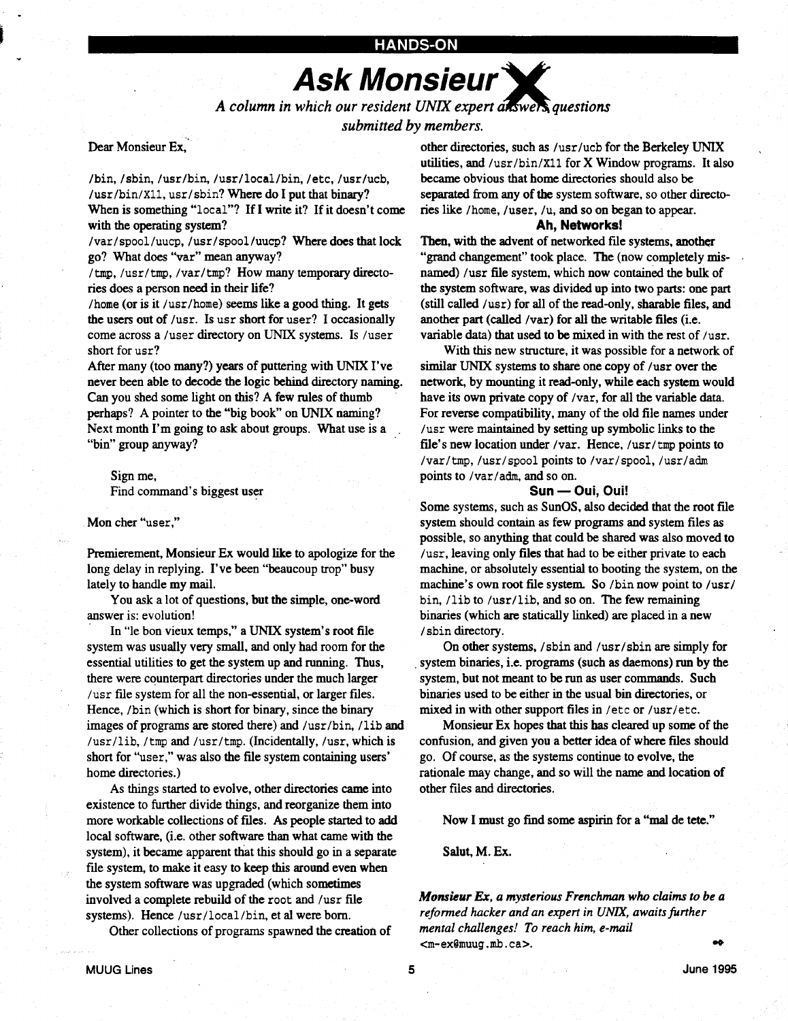# Ask Monsieur Y

A column in which our resident UNIX expert  $a$  is well questions submitted by members.

### Dear Monsieur Ex,

 

 

/bin,/sbin,/usr/bin,/usr/local/bin,/etc,/usr/ucb, /usr/bin/X11, usr/sbin? Where do I put that binary? When is something "local"? If I write it? If it doesn't come with the operating system?

/var/spool/uucp, /usr/spool/uucp? Where does that lock go? What does "var" mean anyway?

/tmp, /usr/tmp, /var/tmp? How many temporary directories does a person need in their life?

/home (or is it /usr/home) seems like a good thing. It gets the users out of /usr. Is usr short for user? I occasionally come across a /user directory on UNIX systems. Is /user short for usr?

After many (too many?) years of puttering with UNIX I've never been able to decode the logic behind directory naming. Can you shed some light on this? A few rules of thumb perhaps? A pointer to the "big book" on UNIX naming? Next month I'm going to ask about groups. What use is a "bin" group anyway?

## Sign me,

Find command's biggest user

#### Mon cher "user,"

Premierement, Monsieur Ex would like to apologize for the long delay in replying. I've been "beaucoup trop" busy lately to handle my mail.

You ask a lot of questions, but the simple, one-word answer is: evolution!

In "le bon vieux temps," a UNIX system's root file system was usually very small, and only had room for the essential utilities to get the system up and running. Thus, there were counterpart directories under the much larger /usr file system for all the non-essential, or larger files . Hence, /bin (which is short for binary, since the binary images of programs are stored there) and /usr/bin, /lib and /usr/lib, /tmp and /usr/tmp . (Incidentally, /usr, which is short for "user," was also the file system containing users' home directories.)

As things started to evolve, other directories came into existence to further divide things, and reorganize them into more workable collections of files. As people started to add local software, (i.e. other software than what came with the system), it became apparent that this should go in a separate file system, to make it easy to keep this around even when the system software was upgraded (which sometimes involved a complete rebuild of the root and /usr file systems). Hence /usr/local/bin, et al were born.

Other collections of programs spawned the creation of

other directories, such as /usr/ucb for the Berkeley UNIX utilities, and /usr/bin/X11 for  $X$  Window programs. It also became obvious that home directories should also be separated from any of the system software, so other directories like /home, /user, /u, and so on began to appear .

### Ah, Networks!

Then, with the advent of networked file systems, another "grand changement" took place. The (now completely misnamed) /usr file system, which now contained the bulk of the system software, was divided up into two parts: one part (still called /usr) for all of the read-only, sharable files, and another part (called /var) for all the writable files (i.e. variable data) that used to be mixed in with the rest of /usr.

With this new structure, it was possible for a network of similar UNIX systems to share one copy of /usr over the network, by mounting it read-only, while each system would have its own private copy of /var, for all the variable data. For reverse compatibility, many of the old file names under /usr were maintained by setting up symbolic links to the file's new location under /var. Hence,  $\sqrt{usr/tmp}$  points to /var/tmp, /usr/spool points to /var/spool, /usr/adm points to /var/adm, and so on.

### Sun - Oui, Oui!

Some systems, such as SunOS, also decided that the root file system should contain as few programs and system files as possible, so anything that could be shared was also moved to /usr, leaving only files that had to be either private to each machine, or absolutely essential to booting the system, on the machine's own root file system. So /bin now point to /usr/ bin, /lib to /usr/lib, and so on. The few remaining binaries (which are statically linked) are placed in a new /sbin directory .

On other systems, /sbin and /usr/sbin are simply for system binaries, i.e. programs (such as daemons) run by the system, but not meant to be run as user commands. Such binaries used to be either in the usual bin directories, or mixed in with other support files in /etc or /usr/etc .

Monsieur Ex hopes that this has cleared up some of the confusion, and given you a better idea of where files should go. Of course, as the systems continue to evolve, the rationale may change, and so will the name and location of other files and directories .

Now I must go find some aspirin for a "mal de tete."

Salut, M. Ex.

Monsieur Ex, a mysterious Frenchman who claims to be a reformed hacker and an expert in UNIX, awaits further mental challenges! To reach him, e-mail <m-ex@muug.mb.ca>.  $\bullet$ 

5